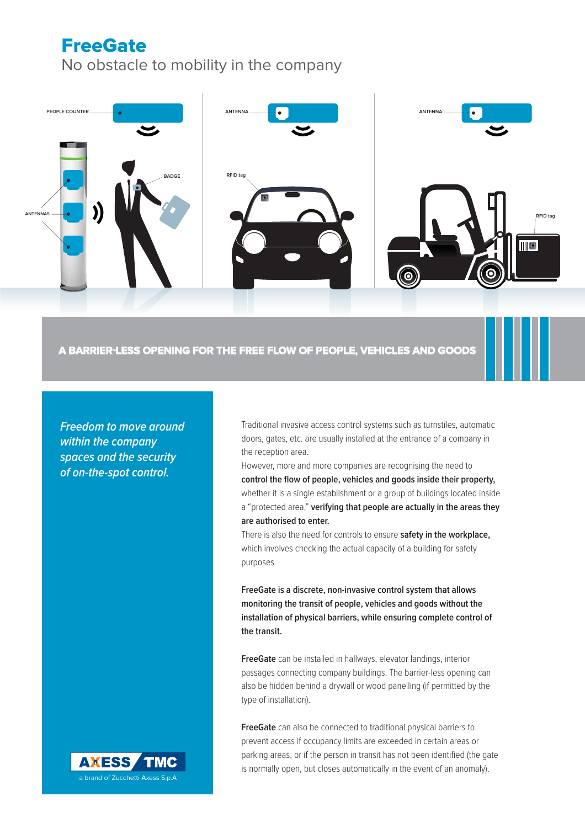# **FreeGate** No obstacle to mobility in the company



## **A BARRIER-LESS OPENING FOR THE FREE FLOW OF PEOPLE, VEHICLES AND GOODS GOODS**

**Freedom to move around within the company spaces and the security of on-the-spot control.**

Traditional invasive access control systems such as turnstiles, automatic doors, gates, etc. are usually installed at the entrance of a company in the reception area.

However, more and more companies are recognising the need to control the flow of people, vehicles and goods inside their property, whether it is a single establishment or a group of buildings located inside a "protected area," **verifying that people are actually in the areas they are authorised to enter.**

There is also the need for controls to ensure **safety in the workplace,** which involves checking the actual capacity of a building for safety purposes

**FreeGate is a discrete, non-invasive control system that allows monitoring the transit of people, vehicles and goods without the installation of physical barriers, while ensuring complete control of the transit.**

**FreeGate** can be installed in hallways, elevator landings, interior passages connecting company buildings. The barrier-less opening can also be hidden behind a drywall or wood panelling (if permitted by the type of installation).

**FreeGate** can also be connected to traditional physical barriers to prevent access if occupancy limits are exceeded in certain areas or parking areas, or if the person in transit has not been identified (the gate is normally open, but closes automatically in the event of an anomaly).